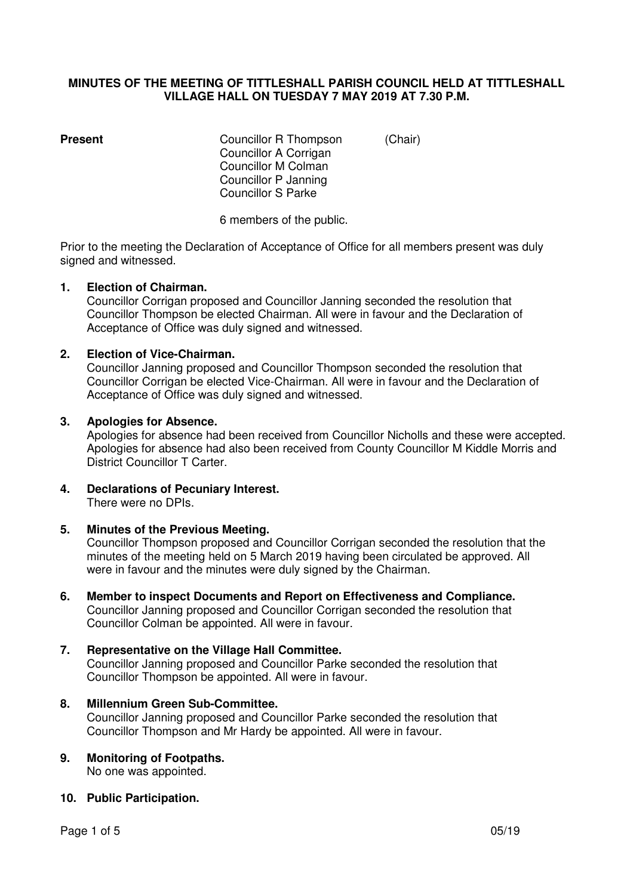## **MINUTES OF THE MEETING OF TITTLESHALL PARISH COUNCIL HELD AT TITTLESHALL VILLAGE HALL ON TUESDAY 7 MAY 2019 AT 7.30 P.M.**

**Present Councillor R Thompson** (Chair) Councillor A Corrigan Councillor M Colman Councillor P Janning Councillor S Parke

6 members of the public.

Prior to the meeting the Declaration of Acceptance of Office for all members present was duly signed and witnessed.

## **1. Election of Chairman.**

Councillor Corrigan proposed and Councillor Janning seconded the resolution that Councillor Thompson be elected Chairman. All were in favour and the Declaration of Acceptance of Office was duly signed and witnessed.

## **2. Election of Vice-Chairman.**

Councillor Janning proposed and Councillor Thompson seconded the resolution that Councillor Corrigan be elected Vice-Chairman. All were in favour and the Declaration of Acceptance of Office was duly signed and witnessed.

#### **3. Apologies for Absence.**

Apologies for absence had been received from Councillor Nicholls and these were accepted. Apologies for absence had also been received from County Councillor M Kiddle Morris and District Councillor T Carter.

#### **4. Declarations of Pecuniary Interest.**  There were no DPIs.

## **5. Minutes of the Previous Meeting.**

Councillor Thompson proposed and Councillor Corrigan seconded the resolution that the minutes of the meeting held on 5 March 2019 having been circulated be approved. All were in favour and the minutes were duly signed by the Chairman.

**6. Member to inspect Documents and Report on Effectiveness and Compliance.**  Councillor Janning proposed and Councillor Corrigan seconded the resolution that Councillor Colman be appointed. All were in favour.

## **7. Representative on the Village Hall Committee.**

Councillor Janning proposed and Councillor Parke seconded the resolution that Councillor Thompson be appointed. All were in favour.

## **8. Millennium Green Sub-Committee.**

Councillor Janning proposed and Councillor Parke seconded the resolution that Councillor Thompson and Mr Hardy be appointed. All were in favour.

# **9. Monitoring of Footpaths.**

No one was appointed.

## **10. Public Participation.**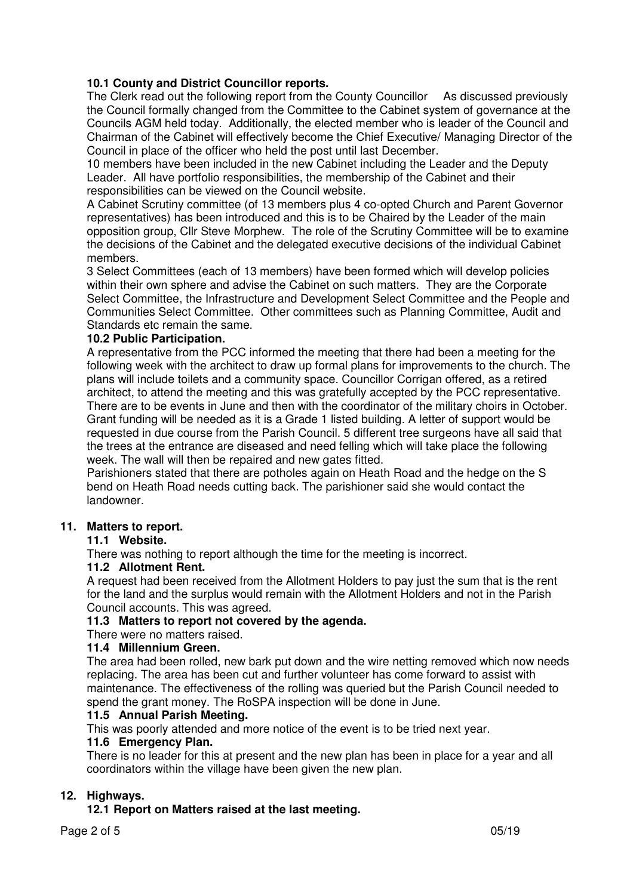## **10.1 County and District Councillor reports.**

The Clerk read out the following report from the County Councillor As discussed previously the Council formally changed from the Committee to the Cabinet system of governance at the Councils AGM held today. Additionally, the elected member who is leader of the Council and Chairman of the Cabinet will effectively become the Chief Executive/ Managing Director of the Council in place of the officer who held the post until last December.

 10 members have been included in the new Cabinet including the Leader and the Deputy Leader. All have portfolio responsibilities, the membership of the Cabinet and their responsibilities can be viewed on the Council website.

 A Cabinet Scrutiny committee (of 13 members plus 4 co-opted Church and Parent Governor representatives) has been introduced and this is to be Chaired by the Leader of the main opposition group, Cllr Steve Morphew. The role of the Scrutiny Committee will be to examine the decisions of the Cabinet and the delegated executive decisions of the individual Cabinet members.

 3 Select Committees (each of 13 members) have been formed which will develop policies within their own sphere and advise the Cabinet on such matters. They are the Corporate Select Committee, the Infrastructure and Development Select Committee and the People and Communities Select Committee. Other committees such as Planning Committee, Audit and Standards etc remain the same.

## **10.2 Public Participation.**

A representative from the PCC informed the meeting that there had been a meeting for the following week with the architect to draw up formal plans for improvements to the church. The plans will include toilets and a community space. Councillor Corrigan offered, as a retired architect, to attend the meeting and this was gratefully accepted by the PCC representative. There are to be events in June and then with the coordinator of the military choirs in October. Grant funding will be needed as it is a Grade 1 listed building. A letter of support would be requested in due course from the Parish Council. 5 different tree surgeons have all said that the trees at the entrance are diseased and need felling which will take place the following week. The wall will then be repaired and new gates fitted.

 Parishioners stated that there are potholes again on Heath Road and the hedge on the S bend on Heath Road needs cutting back. The parishioner said she would contact the landowner.

## **11. Matters to report.**

## **11.1 Website.**

There was nothing to report although the time for the meeting is incorrect.

## **11.2 Allotment Rent.**

A request had been received from the Allotment Holders to pay just the sum that is the rent for the land and the surplus would remain with the Allotment Holders and not in the Parish Council accounts. This was agreed.

## **11.3 Matters to report not covered by the agenda.**

There were no matters raised.

## **11.4 Millennium Green.**

The area had been rolled, new bark put down and the wire netting removed which now needs replacing. The area has been cut and further volunteer has come forward to assist with maintenance. The effectiveness of the rolling was queried but the Parish Council needed to spend the grant money. The RoSPA inspection will be done in June.

## **11.5 Annual Parish Meeting.**

This was poorly attended and more notice of the event is to be tried next year.

## **11.6 Emergency Plan.**

There is no leader for this at present and the new plan has been in place for a year and all coordinators within the village have been given the new plan.

## **12. Highways.**

 **12.1 Report on Matters raised at the last meeting.**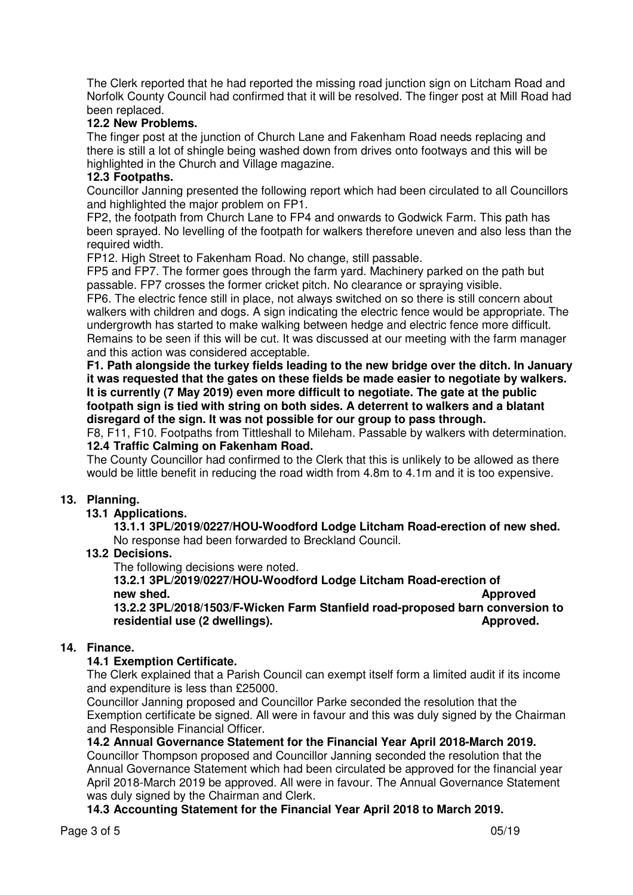The Clerk reported that he had reported the missing road junction sign on Litcham Road and Norfolk County Council had confirmed that it will be resolved. The finger post at Mill Road had been replaced.

## **12.2 New Problems.**

The finger post at the junction of Church Lane and Fakenham Road needs replacing and there is still a lot of shingle being washed down from drives onto footways and this will be highlighted in the Church and Village magazine.

## **12.3 Footpaths.**

Councillor Janning presented the following report which had been circulated to all Councillors and highlighted the major problem on FP1.

 FP2, the footpath from Church Lane to FP4 and onwards to Godwick Farm. This path has been sprayed. No levelling of the footpath for walkers therefore uneven and also less than the required width.

FP12. High Street to Fakenham Road. No change, still passable.

 FP5 and FP7. The former goes through the farm yard. Machinery parked on the path but passable. FP7 crosses the former cricket pitch. No clearance or spraying visible.

FP6. The electric fence still in place, not always switched on so there is still concern about walkers with children and dogs. A sign indicating the electric fence would be appropriate. The undergrowth has started to make walking between hedge and electric fence more difficult. Remains to be seen if this will be cut. It was discussed at our meeting with the farm manager and this action was considered acceptable.

**F1. Path alongside the turkey fields leading to the new bridge over the ditch. In January it was requested that the gates on these fields be made easier to negotiate by walkers. It is currently (7 May 2019) even more difficult to negotiate. The gate at the public footpath sign is tied with string on both sides. A deterrent to walkers and a blatant disregard of the sign. It was not possible for our group to pass through.** 

F8, F11, F10. Footpaths from Tittleshall to Mileham. Passable by walkers with determination.  **12.4 Traffic Calming on Fakenham Road.** 

The County Councillor had confirmed to the Clerk that this is unlikely to be allowed as there would be little benefit in reducing the road width from 4.8m to 4.1m and it is too expensive.

## **13. Planning.**

## **13.1 Applications.**

 **13.1.1 3PL/2019/0227/HOU-Woodford Lodge Litcham Road-erection of new shed.** No response had been forwarded to Breckland Council.

 **13.2 Decisions.** 

The following decisions were noted.

#### **13.2.1 3PL/2019/0227/HOU-Woodford Lodge Litcham Road-erection of new shed.** Approved **a 13.2.2 3PL/2018/1503/F-Wicken Farm Stanfield road-proposed barn conversion to**

 **residential use (2 dwellings). Approved. Approved. Approved. Approved. Approved. Approved. Approved. Approved. Approved. Approved. Approved. Approved. Approved. Approved. Approved. Approve** 

## **14. Finance.**

## **14.1 Exemption Certificate.**

The Clerk explained that a Parish Council can exempt itself form a limited audit if its income and expenditure is less than £25000.

Councillor Janning proposed and Councillor Parke seconded the resolution that the Exemption certificate be signed. All were in favour and this was duly signed by the Chairman and Responsible Financial Officer.

## **14.2 Annual Governance Statement for the Financial Year April 2018-March 2019.**

Councillor Thompson proposed and Councillor Janning seconded the resolution that the Annual Governance Statement which had been circulated be approved for the financial year April 2018-March 2019 be approved. All were in favour. The Annual Governance Statement was duly signed by the Chairman and Clerk.

 **14.3 Accounting Statement for the Financial Year April 2018 to March 2019.**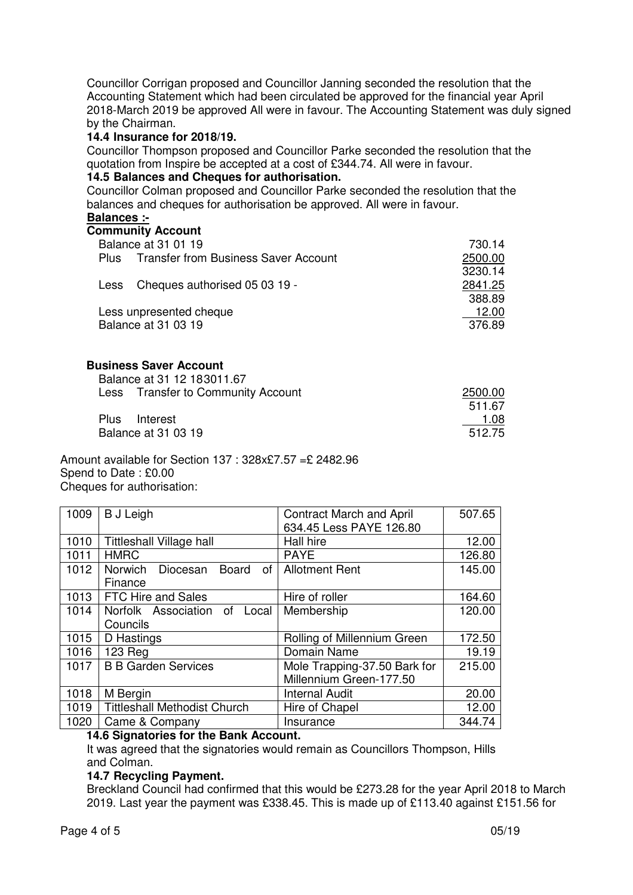Councillor Corrigan proposed and Councillor Janning seconded the resolution that the Accounting Statement which had been circulated be approved for the financial year April 2018-March 2019 be approved All were in favour. The Accounting Statement was duly signed by the Chairman.

## **14.4 Insurance for 2018/19.**

Councillor Thompson proposed and Councillor Parke seconded the resolution that the quotation from Inspire be accepted at a cost of £344.74. All were in favour.

#### **14.5 Balances and Cheques for authorisation.**

Councillor Colman proposed and Councillor Parke seconded the resolution that the balances and cheques for authorisation be approved. All were in favour.

## **Balances :-**

## **Community Account**

| Balance at 31 01 19                                        | 730.14  |
|------------------------------------------------------------|---------|
| <b>Transfer from Business Saver Account</b><br><b>Plus</b> | 2500.00 |
|                                                            | 3230.14 |
| Cheques authorised 05 03 19 -<br>Less                      | 2841.25 |
|                                                            | 388.89  |
| Less unpresented cheque                                    | 12.00   |
| <b>Balance at 31 03 19</b>                                 | 376.89  |

## **Business Saver Account**

| Balance at 31 12 183011.67         |         |
|------------------------------------|---------|
| Less Transfer to Community Account | 2500.00 |
|                                    | 511.67  |
| Interest<br>Plus                   | 1.08    |
| Balance at 31 03 19                | 512.75  |

Amount available for Section 137 : 328x£7.57 =£ 2482.96 Spend to Date : £0.00 Cheques for authorisation:

| 1009 | <b>B</b> J Leigh                                       | <b>Contract March and April</b> | 507.65 |
|------|--------------------------------------------------------|---------------------------------|--------|
|      |                                                        | 634.45 Less PAYE 126.80         |        |
| 1010 | <b>Tittleshall Village hall</b>                        | Hall hire                       | 12.00  |
| 1011 | <b>HMRC</b>                                            | <b>PAYE</b>                     | 126.80 |
| 1012 | Norwich<br>Diocesan<br><b>Board</b><br>of <sub>1</sub> | <b>Allotment Rent</b>           | 145.00 |
|      | Finance                                                |                                 |        |
| 1013 | <b>FTC Hire and Sales</b>                              | Hire of roller                  | 164.60 |
| 1014 | Norfolk Association of Local                           | Membership                      | 120.00 |
|      | Councils                                               |                                 |        |
| 1015 | D Hastings                                             | Rolling of Millennium Green     | 172.50 |
| 1016 | 123 Reg                                                | Domain Name                     | 19.19  |
| 1017 | <b>B B Garden Services</b>                             | Mole Trapping-37.50 Bark for    | 215.00 |
|      |                                                        | Millennium Green-177.50         |        |
| 1018 | M Bergin                                               | <b>Internal Audit</b>           | 20.00  |
| 1019 | <b>Tittleshall Methodist Church</b>                    | Hire of Chapel                  | 12.00  |
| 1020 | Came & Company                                         | Insurance                       | 344.74 |

## **14.6 Signatories for the Bank Account.**

It was agreed that the signatories would remain as Councillors Thompson, Hills and Colman.

## **14.7 Recycling Payment.**

Breckland Council had confirmed that this would be £273.28 for the year April 2018 to March 2019. Last year the payment was £338.45. This is made up of £113.40 against £151.56 for